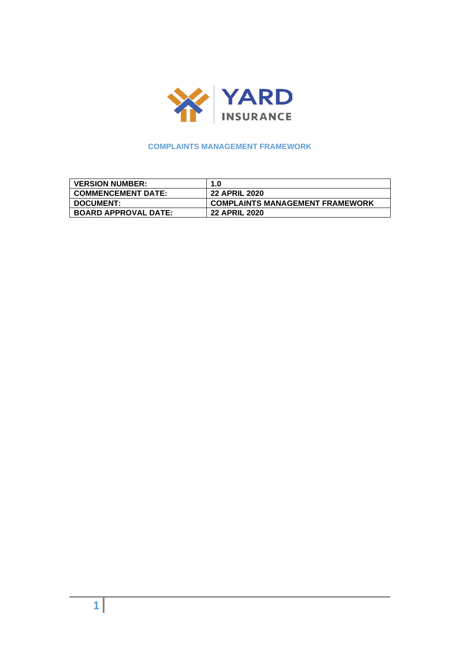

# **COMPLAINTS MANAGEMENT FRAMEWORK**

| <b>VERSION NUMBER:</b>      | 1.0                                    |
|-----------------------------|----------------------------------------|
| <b>COMMENCEMENT DATE:</b>   | <b>22 APRIL 2020</b>                   |
| <b>DOCUMENT:</b>            | <b>COMPLAINTS MANAGEMENT FRAMEWORK</b> |
| <b>BOARD APPROVAL DATE:</b> | <b>22 APRIL 2020</b>                   |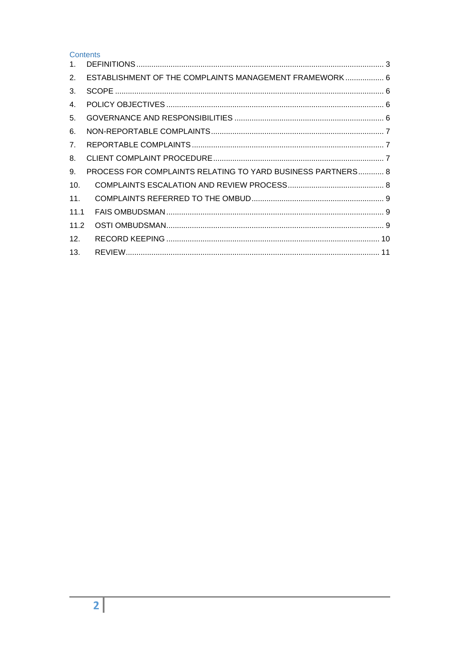Contents

| $\mathbf{1}$ . |                                                             |  |
|----------------|-------------------------------------------------------------|--|
| 2.             | ESTABLISHMENT OF THE COMPLAINTS MANAGEMENT FRAMEWORK 6      |  |
| 3.             |                                                             |  |
| 4.             |                                                             |  |
| 5.             |                                                             |  |
| 6.             |                                                             |  |
| 7.             |                                                             |  |
| 8.             |                                                             |  |
| 9.             | PROCESS FOR COMPLAINTS RELATING TO YARD BUSINESS PARTNERS 8 |  |
| 10.            |                                                             |  |
| 11.            |                                                             |  |
| 11.1           |                                                             |  |
| 11.2           |                                                             |  |
| 12.            |                                                             |  |
| 13.            |                                                             |  |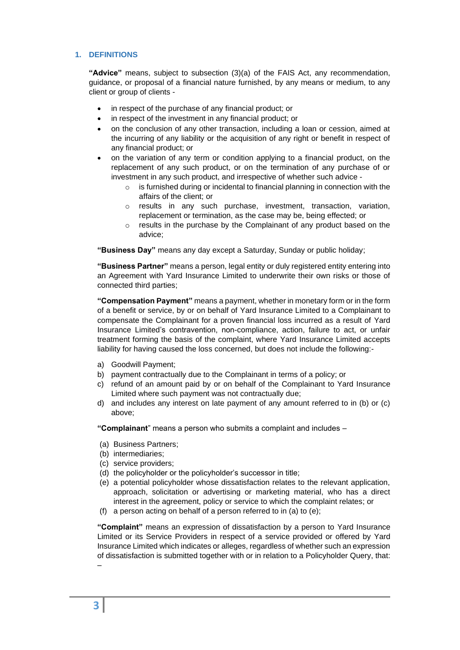# <span id="page-2-0"></span>**1. DEFINITIONS**

**"Advice"** means, subject to subsection (3)(a) of the FAIS Act, any recommendation, guidance, or proposal of a financial nature furnished, by any means or medium, to any client or group of clients -

- in respect of the purchase of any financial product; or
- in respect of the investment in any financial product; or
- on the conclusion of any other transaction, including a loan or cession, aimed at the incurring of any liability or the acquisition of any right or benefit in respect of any financial product; or
- on the variation of any term or condition applying to a financial product, on the replacement of any such product, or on the termination of any purchase of or investment in any such product, and irrespective of whether such advice
	- o is furnished during or incidental to financial planning in connection with the affairs of the client; or
	- $\circ$  results in any such purchase, investment, transaction, variation, replacement or termination, as the case may be, being effected; or
	- o results in the purchase by the Complainant of any product based on the advice;

**"Business Day"** means any day except a Saturday, Sunday or public holiday;

**"Business Partner"** means a person, legal entity or duly registered entity entering into an Agreement with Yard Insurance Limited to underwrite their own risks or those of connected third parties;

**"Compensation Payment"** means a payment, whether in monetary form or in the form of a benefit or service, by or on behalf of Yard Insurance Limited to a Complainant to compensate the Complainant for a proven financial loss incurred as a result of Yard Insurance Limited's contravention, non-compliance, action, failure to act, or unfair treatment forming the basis of the complaint, where Yard Insurance Limited accepts liability for having caused the loss concerned, but does not include the following:-

- a) Goodwill Payment;
- b) payment contractually due to the Complainant in terms of a policy; or
- c) refund of an amount paid by or on behalf of the Complainant to Yard Insurance Limited where such payment was not contractually due;
- d) and includes any interest on late payment of any amount referred to in (b) or (c) above;

**"Complainant**" means a person who submits a complaint and includes –

- (a) Business Partners;
- (b) intermediaries;
- (c) service providers;
- (d) the policyholder or the policyholder's successor in title;
- (e) a potential policyholder whose dissatisfaction relates to the relevant application, approach, solicitation or advertising or marketing material, who has a direct interest in the agreement, policy or service to which the complaint relates; or
- (f) a person acting on behalf of a person referred to in (a) to (e);

**"Complaint"** means an expression of dissatisfaction by a person to Yard Insurance Limited or its Service Providers in respect of a service provided or offered by Yard Insurance Limited which indicates or alleges, regardless of whether such an expression of dissatisfaction is submitted together with or in relation to a Policyholder Query, that:

–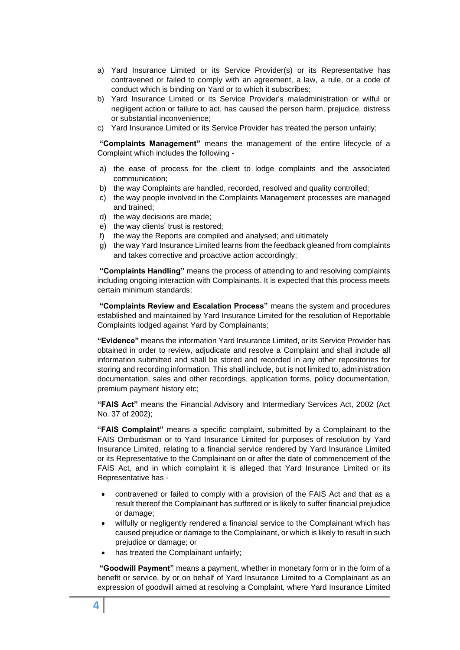- a) Yard Insurance Limited or its Service Provider(s) or its Representative has contravened or failed to comply with an agreement, a law, a rule, or a code of conduct which is binding on Yard or to which it subscribes;
- b) Yard Insurance Limited or its Service Provider's maladministration or wilful or negligent action or failure to act, has caused the person harm, prejudice, distress or substantial inconvenience;
- c) Yard Insurance Limited or its Service Provider has treated the person unfairly;

**"Complaints Management"** means the management of the entire lifecycle of a Complaint which includes the following -

- a) the ease of process for the client to lodge complaints and the associated communication;
- b) the way Complaints are handled, recorded, resolved and quality controlled;
- c) the way people involved in the Complaints Management processes are managed and trained;
- d) the way decisions are made;
- e) the way clients' trust is restored;
- f) the way the Reports are compiled and analysed; and ultimately
- g) the way Yard Insurance Limited learns from the feedback gleaned from complaints and takes corrective and proactive action accordingly;

**"Complaints Handling"** means the process of attending to and resolving complaints including ongoing interaction with Complainants. It is expected that this process meets certain minimum standards;

**"Complaints Review and Escalation Process"** means the system and procedures established and maintained by Yard Insurance Limited for the resolution of Reportable Complaints lodged against Yard by Complainants;

**"Evidence"** means the information Yard Insurance Limited, or its Service Provider has obtained in order to review, adjudicate and resolve a Complaint and shall include all information submitted and shall be stored and recorded in any other repositories for storing and recording information. This shall include, but is not limited to, administration documentation, sales and other recordings, application forms, policy documentation, premium payment history etc;

**"FAIS Act"** means the Financial Advisory and Intermediary Services Act, 2002 (Act No. 37 of 2002);

**"FAIS Complaint"** means a specific complaint, submitted by a Complainant to the FAIS Ombudsman or to Yard Insurance Limited for purposes of resolution by Yard Insurance Limited, relating to a financial service rendered by Yard Insurance Limited or its Representative to the Complainant on or after the date of commencement of the FAIS Act, and in which complaint it is alleged that Yard Insurance Limited or its Representative has -

- contravened or failed to comply with a provision of the FAIS Act and that as a result thereof the Complainant has suffered or is likely to suffer financial prejudice or damage;
- wilfully or negligently rendered a financial service to the Complainant which has caused prejudice or damage to the Complainant, or which is likely to result in such prejudice or damage; or
- has treated the Complainant unfairly;

**"Goodwill Payment"** means a payment, whether in monetary form or in the form of a benefit or service, by or on behalf of Yard Insurance Limited to a Complainant as an expression of goodwill aimed at resolving a Complaint, where Yard Insurance Limited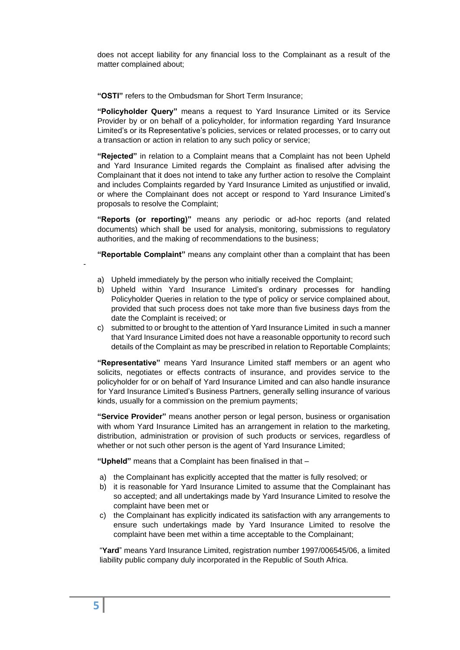does not accept liability for any financial loss to the Complainant as a result of the matter complained about;

**"OSTI"** refers to the Ombudsman for Short Term Insurance;

**"Policyholder Query"** means a request to Yard Insurance Limited or its Service Provider by or on behalf of a policyholder, for information regarding Yard Insurance Limited's or its Representative's policies, services or related processes, or to carry out a transaction or action in relation to any such policy or service;

**"Rejected"** in relation to a Complaint means that a Complaint has not been Upheld and Yard Insurance Limited regards the Complaint as finalised after advising the Complainant that it does not intend to take any further action to resolve the Complaint and includes Complaints regarded by Yard Insurance Limited as unjustified or invalid, or where the Complainant does not accept or respond to Yard Insurance Limited's proposals to resolve the Complaint;

**"Reports (or reporting)"** means any periodic or ad-hoc reports (and related documents) which shall be used for analysis, monitoring, submissions to regulatory authorities, and the making of recommendations to the business;

**"Reportable Complaint"** means any complaint other than a complaint that has been

- a) Upheld immediately by the person who initially received the Complaint;
- b) Upheld within Yard Insurance Limited's ordinary processes for handling Policyholder Queries in relation to the type of policy or service complained about, provided that such process does not take more than five business days from the date the Complaint is received; or
- c) submitted to or brought to the attention of Yard Insurance Limited in such a manner that Yard Insurance Limited does not have a reasonable opportunity to record such details of the Complaint as may be prescribed in relation to Reportable Complaints;

**"Representative"** means Yard Insurance Limited staff members or an agent who solicits, negotiates or effects contracts of insurance, and provides service to the policyholder for or on behalf of Yard Insurance Limited and can also handle insurance for Yard Insurance Limited's Business Partners, generally selling insurance of various kinds, usually for a commission on the premium payments;

**"Service Provider"** means another person or legal person, business or organisation with whom Yard Insurance Limited has an arrangement in relation to the marketing, distribution, administration or provision of such products or services, regardless of whether or not such other person is the agent of Yard Insurance Limited;

**"Upheld"** means that a Complaint has been finalised in that –

- a) the Complainant has explicitly accepted that the matter is fully resolved; or
- b) it is reasonable for Yard Insurance Limited to assume that the Complainant has so accepted; and all undertakings made by Yard Insurance Limited to resolve the complaint have been met or
- c) the Complainant has explicitly indicated its satisfaction with any arrangements to ensure such undertakings made by Yard Insurance Limited to resolve the complaint have been met within a time acceptable to the Complainant;

"**Yard**" means Yard Insurance Limited, registration number 1997/006545/06, a limited liability public company duly incorporated in the Republic of South Africa.

-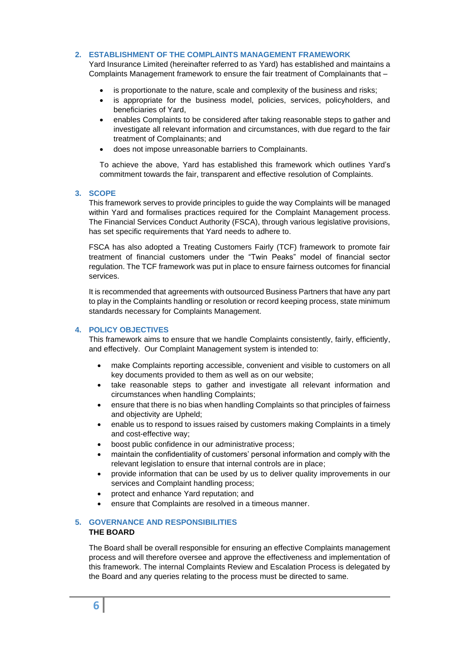## <span id="page-5-0"></span>**2. ESTABLISHMENT OF THE COMPLAINTS MANAGEMENT FRAMEWORK**

Yard Insurance Limited (hereinafter referred to as Yard) has established and maintains a Complaints Management framework to ensure the fair treatment of Complainants that –

- is proportionate to the nature, scale and complexity of the business and risks;
- is appropriate for the business model, policies, services, policyholders, and beneficiaries of Yard,
- enables Complaints to be considered after taking reasonable steps to gather and investigate all relevant information and circumstances, with due regard to the fair treatment of Complainants; and
- does not impose unreasonable barriers to Complainants.

To achieve the above, Yard has established this framework which outlines Yard's commitment towards the fair, transparent and effective resolution of Complaints.

#### <span id="page-5-1"></span>**3. SCOPE**

This framework serves to provide principles to guide the way Complaints will be managed within Yard and formalises practices required for the Complaint Management process. The Financial Services Conduct Authority (FSCA), through various legislative provisions, has set specific requirements that Yard needs to adhere to.

FSCA has also adopted a Treating Customers Fairly (TCF) framework to promote fair treatment of financial customers under the "Twin Peaks" model of financial sector regulation. The TCF framework was put in place to ensure fairness outcomes for financial services.

It is recommended that agreements with outsourced Business Partners that have any part to play in the Complaints handling or resolution or record keeping process, state minimum standards necessary for Complaints Management.

## <span id="page-5-2"></span>**4. POLICY OBJECTIVES**

This framework aims to ensure that we handle Complaints consistently, fairly, efficiently, and effectively. Our Complaint Management system is intended to:

- make Complaints reporting accessible, convenient and visible to customers on all key documents provided to them as well as on our website;
- take reasonable steps to gather and investigate all relevant information and circumstances when handling Complaints;
- ensure that there is no bias when handling Complaints so that principles of fairness and objectivity are Upheld;
- enable us to respond to issues raised by customers making Complaints in a timely and cost-effective way;
- boost public confidence in our administrative process;
- maintain the confidentiality of customers' personal information and comply with the relevant legislation to ensure that internal controls are in place;
- provide information that can be used by us to deliver quality improvements in our services and Complaint handling process;
- protect and enhance Yard reputation; and
- ensure that Complaints are resolved in a timeous manner.

## <span id="page-5-3"></span>**5. GOVERNANCE AND RESPONSIBILITIES THE BOARD**

The Board shall be overall responsible for ensuring an effective Complaints management process and will therefore oversee and approve the effectiveness and implementation of this framework. The internal Complaints Review and Escalation Process is delegated by the Board and any queries relating to the process must be directed to same.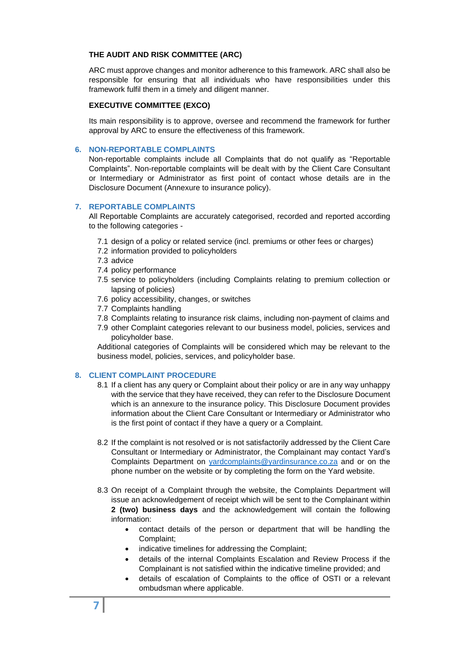## **THE AUDIT AND RISK COMMITTEE (ARC)**

ARC must approve changes and monitor adherence to this framework. ARC shall also be responsible for ensuring that all individuals who have responsibilities under this framework fulfil them in a timely and diligent manner.

## **EXECUTIVE COMMITTEE (EXCO)**

Its main responsibility is to approve, oversee and recommend the framework for further approval by ARC to ensure the effectiveness of this framework.

## <span id="page-6-0"></span>**6. NON-REPORTABLE COMPLAINTS**

Non-reportable complaints include all Complaints that do not qualify as "Reportable Complaints". Non-reportable complaints will be dealt with by the Client Care Consultant or Intermediary or Administrator as first point of contact whose details are in the Disclosure Document (Annexure to insurance policy).

## <span id="page-6-1"></span>**7. REPORTABLE COMPLAINTS**

All Reportable Complaints are accurately categorised, recorded and reported according to the following categories -

- 7.1 design of a policy or related service (incl. premiums or other fees or charges)
- 7.2 information provided to policyholders
- 7.3 advice
- 7.4 policy performance
- 7.5 service to policyholders (including Complaints relating to premium collection or lapsing of policies)
- 7.6 policy accessibility, changes, or switches
- 7.7 Complaints handling
- 7.8 Complaints relating to insurance risk claims, including non-payment of claims and
- 7.9 other Complaint categories relevant to our business model, policies, services and policyholder base.

Additional categories of Complaints will be considered which may be relevant to the business model, policies, services, and policyholder base.

## <span id="page-6-2"></span>**8. CLIENT COMPLAINT PROCEDURE**

- 8.1 If a client has any query or Complaint about their policy or are in any way unhappy with the service that they have received, they can refer to the Disclosure Document which is an annexure to the insurance policy. This Disclosure Document provides information about the Client Care Consultant or Intermediary or Administrator who is the first point of contact if they have a query or a Complaint.
- 8.2 If the complaint is not resolved or is not satisfactorily addressed by the Client Care Consultant or Intermediary or Administrator, the Complainant may contact Yard's Complaints Department on [yardcomplaints@yardinsurance.co.za](mailto:yardcomplaints@yardinsurance.co.za) and or on the phone number on the website or by completing the form on the Yard website.
- 8.3 On receipt of a Complaint through the website, the Complaints Department will issue an acknowledgement of receipt which will be sent to the Complainant within **2 (two) business days** and the acknowledgement will contain the following information:
	- contact details of the person or department that will be handling the Complaint;
	- indicative timelines for addressing the Complaint;
	- details of the internal Complaints Escalation and Review Process if the Complainant is not satisfied within the indicative timeline provided; and
	- details of escalation of Complaints to the office of OSTI or a relevant ombudsman where applicable.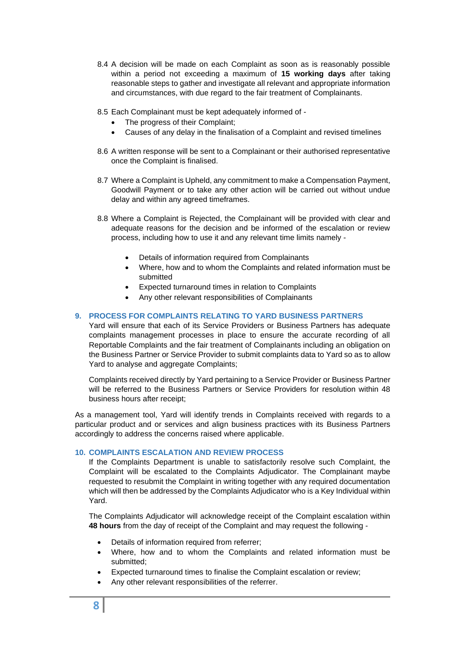- 8.4 A decision will be made on each Complaint as soon as is reasonably possible within a period not exceeding a maximum of **15 working days** after taking reasonable steps to gather and investigate all relevant and appropriate information and circumstances, with due regard to the fair treatment of Complainants.
- 8.5 Each Complainant must be kept adequately informed of
	- The progress of their Complaint;
	- Causes of any delay in the finalisation of a Complaint and revised timelines
- 8.6 A written response will be sent to a Complainant or their authorised representative once the Complaint is finalised.
- 8.7 Where a Complaint is Upheld, any commitment to make a Compensation Payment, Goodwill Payment or to take any other action will be carried out without undue delay and within any agreed timeframes.
- 8.8 Where a Complaint is Rejected, the Complainant will be provided with clear and adequate reasons for the decision and be informed of the escalation or review process, including how to use it and any relevant time limits namely -
	- Details of information required from Complainants
	- Where, how and to whom the Complaints and related information must be submitted
	- Expected turnaround times in relation to Complaints
	- Any other relevant responsibilities of Complainants

# <span id="page-7-0"></span>**9. PROCESS FOR COMPLAINTS RELATING TO YARD BUSINESS PARTNERS**

Yard will ensure that each of its Service Providers or Business Partners has adequate complaints management processes in place to ensure the accurate recording of all Reportable Complaints and the fair treatment of Complainants including an obligation on the Business Partner or Service Provider to submit complaints data to Yard so as to allow Yard to analyse and aggregate Complaints;

Complaints received directly by Yard pertaining to a Service Provider or Business Partner will be referred to the Business Partners or Service Providers for resolution within 48 business hours after receipt;

As a management tool, Yard will identify trends in Complaints received with regards to a particular product and or services and align business practices with its Business Partners accordingly to address the concerns raised where applicable.

## <span id="page-7-1"></span>**10. COMPLAINTS ESCALATION AND REVIEW PROCESS**

If the Complaints Department is unable to satisfactorily resolve such Complaint, the Complaint will be escalated to the Complaints Adjudicator. The Complainant maybe requested to resubmit the Complaint in writing together with any required documentation which will then be addressed by the Complaints Adjudicator who is a Key Individual within Yard.

The Complaints Adjudicator will acknowledge receipt of the Complaint escalation within **48 hours** from the day of receipt of the Complaint and may request the following -

- Details of information required from referrer;
- Where, how and to whom the Complaints and related information must be submitted;
- Expected turnaround times to finalise the Complaint escalation or review;
- Any other relevant responsibilities of the referrer.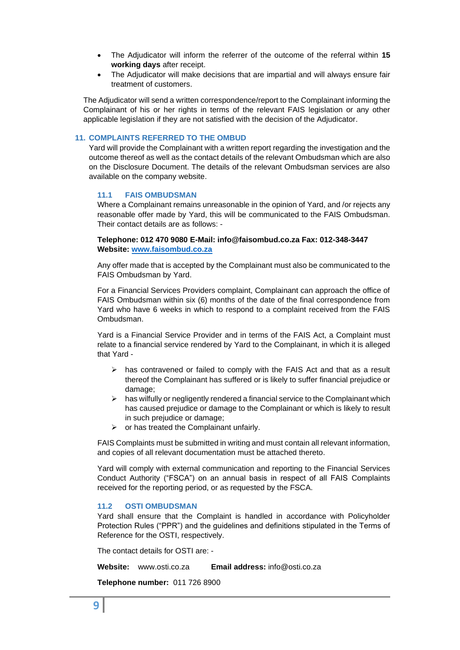- The Adjudicator will inform the referrer of the outcome of the referral within **15 working days** after receipt.
- The Adjudicator will make decisions that are impartial and will always ensure fair treatment of customers.

The Adjudicator will send a written correspondence/report to the Complainant informing the Complainant of his or her rights in terms of the relevant FAIS legislation or any other applicable legislation if they are not satisfied with the decision of the Adjudicator.

#### <span id="page-8-0"></span>**11. COMPLAINTS REFERRED TO THE OMBUD**

Yard will provide the Complainant with a written report regarding the investigation and the outcome thereof as well as the contact details of the relevant Ombudsman which are also on the Disclosure Document. The details of the relevant Ombudsman services are also available on the company website.

#### <span id="page-8-1"></span>**11.1 FAIS OMBUDSMAN**

Where a Complainant remains unreasonable in the opinion of Yard, and /or rejects any reasonable offer made by Yard, this will be communicated to the FAIS Ombudsman. Their contact details are as follows: -

#### **Telephone: 012 470 9080 E-Mail: info@faisombud.co.za Fax: 012-348-3447 Website: [www.faisombud.co.za](http://www.faisombud.co.za/)**

Any offer made that is accepted by the Complainant must also be communicated to the FAIS Ombudsman by Yard.

For a Financial Services Providers complaint, Complainant can approach the office of FAIS Ombudsman within six (6) months of the date of the final correspondence from Yard who have 6 weeks in which to respond to a complaint received from the FAIS Ombudsman.

Yard is a Financial Service Provider and in terms of the FAIS Act, a Complaint must relate to a financial service rendered by Yard to the Complainant, in which it is alleged that Yard -

- $\triangleright$  has contravened or failed to comply with the FAIS Act and that as a result thereof the Complainant has suffered or is likely to suffer financial prejudice or damage;
- $\triangleright$  has wilfully or negligently rendered a financial service to the Complainant which has caused prejudice or damage to the Complainant or which is likely to result in such prejudice or damage;
- $\triangleright$  or has treated the Complainant unfairly.

FAIS Complaints must be submitted in writing and must contain all relevant information, and copies of all relevant documentation must be attached thereto.

Yard will comply with external communication and reporting to the Financial Services Conduct Authority ("FSCA") on an annual basis in respect of all FAIS Complaints received for the reporting period, or as requested by the FSCA.

#### <span id="page-8-2"></span>**11.2 OSTI OMBUDSMAN**

Yard shall ensure that the Complaint is handled in accordance with Policyholder Protection Rules ("PPR") and the guidelines and definitions stipulated in the Terms of Reference for the OSTI, respectively.

The contact details for OSTI are: -

**Website:** www.osti.co.za **Email address:** info@osti.co.za

**Telephone number:** 011 726 8900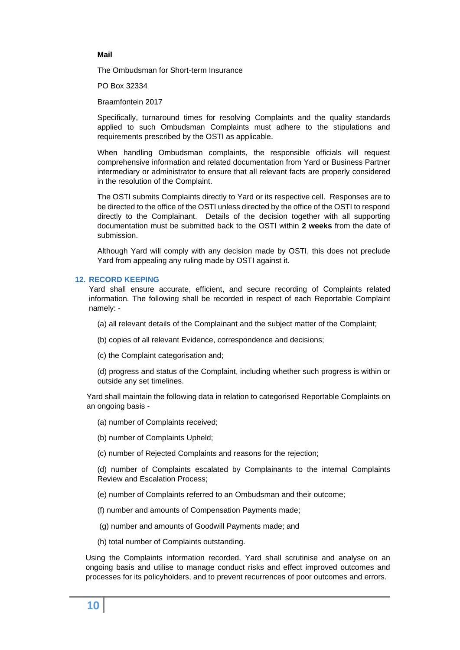#### **Mail**

The Ombudsman for Short-term Insurance

PO Box 32334

Braamfontein 2017

Specifically, turnaround times for resolving Complaints and the quality standards applied to such Ombudsman Complaints must adhere to the stipulations and requirements prescribed by the OSTI as applicable.

When handling Ombudsman complaints, the responsible officials will request comprehensive information and related documentation from Yard or Business Partner intermediary or administrator to ensure that all relevant facts are properly considered in the resolution of the Complaint.

The OSTI submits Complaints directly to Yard or its respective cell. Responses are to be directed to the office of the OSTI unless directed by the office of the OSTI to respond directly to the Complainant. Details of the decision together with all supporting documentation must be submitted back to the OSTI within **2 weeks** from the date of submission.

Although Yard will comply with any decision made by OSTI, this does not preclude Yard from appealing any ruling made by OSTI against it.

#### <span id="page-9-0"></span>**12. RECORD KEEPING**

Yard shall ensure accurate, efficient, and secure recording of Complaints related information. The following shall be recorded in respect of each Reportable Complaint namely: -

(a) all relevant details of the Complainant and the subject matter of the Complaint;

- (b) copies of all relevant Evidence, correspondence and decisions;
- (c) the Complaint categorisation and;

(d) progress and status of the Complaint, including whether such progress is within or outside any set timelines.

Yard shall maintain the following data in relation to categorised Reportable Complaints on an ongoing basis -

(a) number of Complaints received;

(b) number of Complaints Upheld;

(c) number of Rejected Complaints and reasons for the rejection;

(d) number of Complaints escalated by Complainants to the internal Complaints Review and Escalation Process;

(e) number of Complaints referred to an Ombudsman and their outcome;

(f) number and amounts of Compensation Payments made;

(g) number and amounts of Goodwill Payments made; and

(h) total number of Complaints outstanding.

Using the Complaints information recorded, Yard shall scrutinise and analyse on an ongoing basis and utilise to manage conduct risks and effect improved outcomes and processes for its policyholders, and to prevent recurrences of poor outcomes and errors.